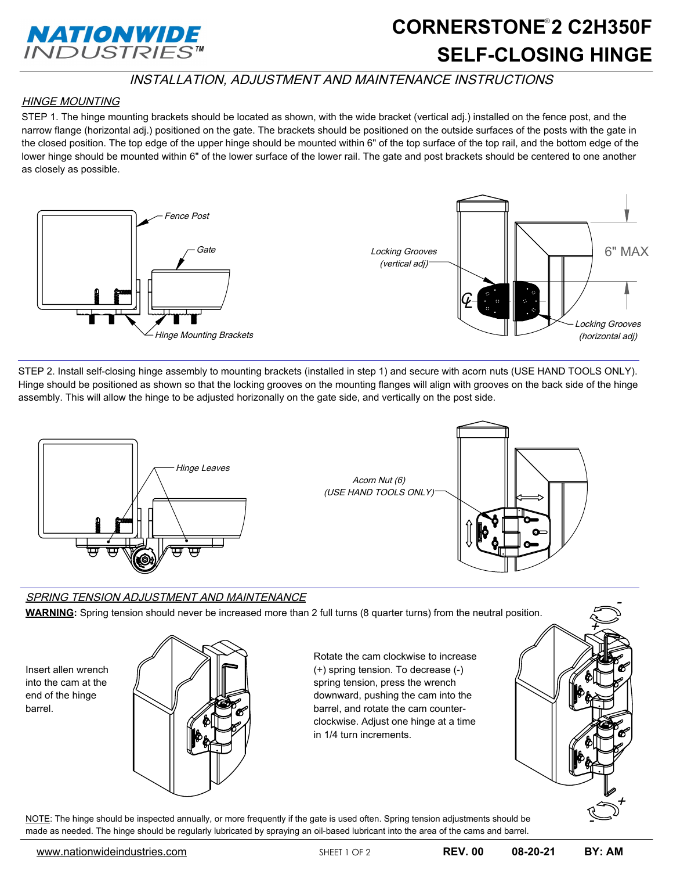

# **SELF-CLOSING HINGE** CORNERSTONE<sup>®</sup>2 C2H350F

### INSTALLATION, ADJUSTMENT AND MAINTENANCE INSTRUCTIONS

#### HINGE MOUNTING

STEP 1. The hinge mounting brackets should be located as shown, with the wide bracket (vertical adj.) installed on the fence post, and the narrow flange (horizontal adj.) positioned on the gate. The brackets should be positioned on the outside surfaces of the posts with the gate in the closed position. The top edge of the upper hinge should be mounted within 6" of the top surface of the top rail, and the bottom edge of the lower hinge should be mounted within 6" of the lower surface of the lower rail. The gate and post brackets should be centered to one another as closely as possible.



STEP 2. Install self-closing hinge assembly to mounting brackets (installed in step 1) and secure with acorn nuts (USE HAND TOOLS ONLY). Hinge should be positioned as shown so that the locking grooves on the mounting flanges will align with grooves on the back side of the hinge assembly. This will allow the hinge to be adjusted horizonally on the gate side, and vertically on the post side.



#### SPRING TENSION ADJUSTMENT AND MAINTENANCE

**WARNING:** Spring tension should never be increased more than 2 full turns (8 quarter turns) from the neutral position.

Insert allen wrench into the cam at the end of the hinge barrel.



Rotate the cam clockwise to increase (+) spring tension. To decrease (-) spring tension, press the wrench downward, pushing the cam into the barrel, and rotate the cam counterclockwise. Adjust one hinge at a time in 1/4 turn increments.



NOTE: The hinge should be inspected annually, or more frequently if the gate is used often. Spring tension adjustments should be made as needed. The hinge should be regularly lubricated by spraying an oil-based lubricant into the area of the cams and barrel.

-